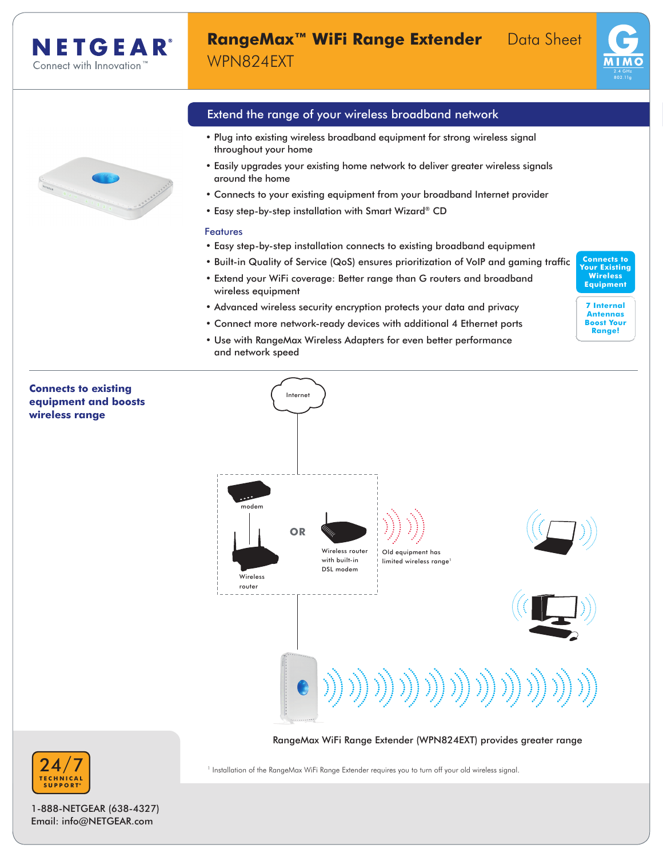# **RangeMax™ WiFi Range Extender** Data Sheet WPN824EXT





# Extend the range of your wireless broadband network

- Plug into existing wireless broadband equipment for strong wireless signal throughout your home
- Easily upgrades your existing home network to deliver greater wireless signals around the home
- Connects to your existing equipment from your broadband Internet provider
- Easy step-by-step installation with Smart Wizard® CD

# Features

- Easy step-by-step installation connects to existing broadband equipment
- Built-in Quality of Service (QoS) ensures prioritization of VoIP and gaming traffic
- Extend your WiFi coverage: Better range than G routers and broadband wireless equipment
- Advanced wireless security encryption protects your data and privacy
- Connect more network-ready devices with additional 4 Ethernet ports
- Use with RangeMax Wireless Adapters for even better performance and network speed



**7 Internal Antennas Boost Your Range!**

# **Connects to existing**  Internet **equipment and boosts wireless range** modem **OR** Wireless router Old equipment has with built-in limited wireless range DSL modem Wireless router )) )) )) )) )) )) ))) RangeMax WiFi Range Extender (WPN824EXT) provides greater range RangeMax WiFi Range Extender (WPN824EXT) provides greater range





24 **T E C H N I C A L SUPPOR T**\*